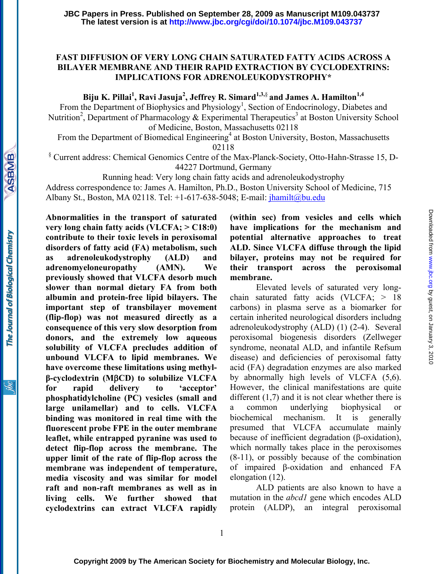## **FAST DIFFUSION OF VERY LONG CHAIN SATURATED FATTY ACIDS ACROSS A BILAYER MEMBRANE AND THEIR RAPID EXTRACTION BY CYCLODEXTRINS: IMPLICATIONS FOR ADRENOLEUKODYSTROPHY\***

Biju K. Pillai<sup>1</sup>, Ravi Jasuja<sup>2</sup>, Jeffrey R. Simard<sup>1,3,§</sup> and James A. Hamilton<sup>1,4</sup>

From the Department of Biophysics and Physiology<sup>1</sup>, Section of Endocrinology, Diabetes and Nutrition<sup>2</sup>, Department of Pharmacology & Experimental Therapeutics<sup>3</sup> at Boston University School of Medicine, Boston, Massachusetts 02118

From the Department of Biomedical Engineering<sup>4</sup> at Boston University, Boston, Massachusetts 02118

§ Current address: Chemical Genomics Centre of the Max-Planck-Society, Otto-Hahn-Strasse 15, D-44227 Dortmund, Germany

Running head: Very long chain fatty acids and adrenoleukodystrophy

Address correspondence to: James A. Hamilton, Ph.D., Boston University School of Medicine, 715

Albany St., Boston, MA 02118. Tel: +1-617-638-5048; E-mail: jhamilt@bu.edu

**Abnormalities in the transport of saturated very long chain fatty acids (VLCFA; > C18:0) contribute to their toxic levels in peroxisomal disorders of fatty acid (FA) metabolism, such as adrenoleukodystrophy (ALD) and adrenomyeloneuropathy (AMN). We previously showed that VLCFA desorb much slower than normal dietary FA from both albumin and protein-free lipid bilayers. The important step of transbilayer movement (flip-flop) was not measured directly as a consequence of this very slow desorption from donors, and the extremely low aqueous solubility of VLCFA precludes addition of unbound VLCFA to lipid membranes. We have overcome these limitations using methylβ-cyclodextrin (M**β**CD) to solubilize VLCFA for rapid delivery to 'acceptor' phosphatidylcholine (PC) vesicles (small and large unilamellar) and to cells. VLCFA binding was monitored in real time with the fluorescent probe FPE in the outer membrane leaflet, while entrapped pyranine was used to detect flip-flop across the membrane. The upper limit of the rate of flip-flop across the membrane was independent of temperature, media viscosity and was similar for model raft and non-raft membranes as well as in living cells. We further showed that cyclodextrins can extract VLCFA rapidly** 

**ASBMB** 

The Journal of Biological Chemistry

**(within sec) from vesicles and cells which have implications for the mechanism and potential alternative approaches to treat ALD. Since VLCFA diffuse through the lipid bilayer, proteins may not be required for their transport across the peroxisomal membrane.** 

Elevated levels of saturated very longchain saturated fatty acids (VLCFA; > 18 carbons) in plasma serve as a biomarker for certain inherited neurological disorders includng adrenoleukodystrophy (ALD) (1) (2-4). Several peroxisomal biogenesis disorders (Zellweger syndrome, neonatal ALD, and infantile Refsum disease) and deficiencies of peroxisomal fatty acid (FA) degradation enzymes are also marked by abnormally high levels of VLCFA (5,6). However, the clinical manifestations are quite different  $(1,7)$  and it is not clear whether there is a common underlying biophysical biochemical mechanism. It is generally presumed that VLCFA accumulate mainly because of inefficient degradation (β-oxidation), which normally takes place in the peroxisomes (8-11), or possibly because of the combination of impaired β-oxidation and enhanced FA elongation (12).

ALD patients are also known to have a mutation in the *abcd1* gene which encodes ALD protein (ALDP), an integral peroxisomal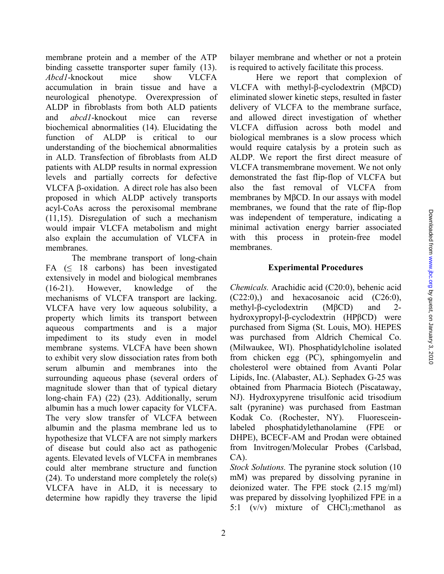membrane protein and a member of the ATP binding cassette transporter super family (13). *Abcd1*-knockout mice show VLCFA accumulation in brain tissue and have a neurological phenotype. Overexpression of ALDP in fibroblasts from both ALD patients and *abcd1*-knockout mice can reverse biochemical abnormalities (14). Elucidating the function of ALDP is critical to our understanding of the biochemical abnormalities in ALD. Transfection of fibroblasts from ALD patients with ALDP results in normal expression levels and partially corrects for defective VLCFA β-oxidation. A direct role has also been proposed in which ALDP actively transports acyl-CoAs across the peroxisomal membrane (11,15). Disregulation of such a mechanism would impair VLCFA metabolism and might also explain the accumulation of VLCFA in membranes.

The membrane transport of long-chain FA  $( \leq 18$  carbons) has been investigated extensively in model and biological membranes (16-21). However, knowledge of the mechanisms of VLCFA transport are lacking. VLCFA have very low aqueous solubility, a property which limits its transport between aqueous compartments and is a major impediment to its study even in model membrane systems. VLCFA have been shown to exhibit very slow dissociation rates from both serum albumin and membranes into the surrounding aqueous phase (several orders of magnitude slower than that of typical dietary long-chain FA) (22) (23). Additionally, serum albumin has a much lower capacity for VLCFA. The very slow transfer of VLCFA between albumin and the plasma membrane led us to hypothesize that VLCFA are not simply markers of disease but could also act as pathogenic agents. Elevated levels of VLCFA in membranes could alter membrane structure and function (24). To understand more completely the role(s) VLCFA have in ALD, it is necessary to determine how rapidly they traverse the lipid

bilayer membrane and whether or not a protein is required to actively facilitate this process.

Here we report that complexion of VLCFA with methyl-β-cyclodextrin (MβCD) eliminated slower kinetic steps, resulted in faster delivery of VLCFA to the membrane surface, and allowed direct investigation of whether VLCFA diffusion across both model and biological membranes is a slow process which would require catalysis by a protein such as ALDP. We report the first direct measure of VLCFA transmembrane movement. We not only demonstrated the fast flip-flop of VLCFA but also the fast removal of VLCFA from membranes by MβCD. In our assays with model membranes, we found that the rate of flip-flop was independent of temperature, indicating a minimal activation energy barrier associated with this process in protein-free model membranes.

### **Experimental Procedures**

*Chemicals.* Arachidic acid (C20:0), behenic acid (C22:0),) and hexacosanoic acid (C26:0), methyl-β-cyclodextrin (MβCD) and 2 hydroxypropyl-β-cyclodextrin (HPβCD) were purchased from Sigma (St. Louis, MO). HEPES was purchased from Aldrich Chemical Co. (Milwaukee, WI). Phosphatidylcholine isolated from chicken egg (PC), sphingomyelin and cholesterol were obtained from Avanti Polar Lipids, Inc. (Alabaster, AL). Sephadex G-25 was obtained from Pharmacia Biotech (Piscataway, NJ). Hydroxypyrene trisulfonic acid trisodium salt (pyranine) was purchased from Eastman Kodak Co. (Rochester, NY). Fluoresceinlabeled phosphatidylethanolamine (FPE or DHPE), BCECF-AM and Prodan were obtained from Invitrogen/Molecular Probes (Carlsbad, CA).

*Stock Solutions.* The pyranine stock solution (10 mM) was prepared by dissolving pyranine in deionized water. The FPE stock (2.15 mg/ml) was prepared by dissolving lyophilized FPE in a 5:1  $(v/v)$  mixture of CHCl<sub>3</sub>: methanol as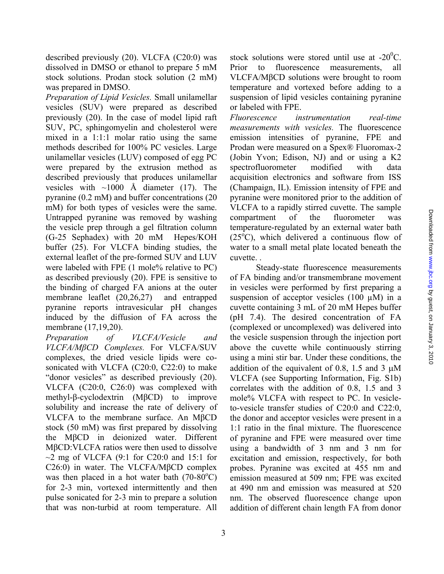described previously (20). VLCFA (C20:0) was dissolved in DMSO or ethanol to prepare 5 mM stock solutions. Prodan stock solution (2 mM) was prepared in DMSO.

*Preparation of Lipid Vesicles.* Small unilamellar vesicles (SUV) were prepared as described previously (20). In the case of model lipid raft SUV, PC, sphingomyelin and cholesterol were mixed in a 1:1:1 molar ratio using the same methods described for 100% PC vesicles. Large unilamellar vesicles (LUV) composed of egg PC were prepared by the extrusion method as described previously that produces unilamellar vesicles with  $\sim$ 1000 Å diameter (17). The pyranine (0.2 mM) and buffer concentrations (20 mM) for both types of vesicles were the same. Untrapped pyranine was removed by washing the vesicle prep through a gel filtration column (G-25 Sephadex) with 20 mM Hepes/KOH buffer (25). For VLCFA binding studies, the external leaflet of the pre-formed SUV and LUV were labeled with FPE (1 mole% relative to PC) as described previously (20). FPE is sensitive to the binding of charged FA anions at the outer membrane leaflet (20,26,27) and entrapped pyranine reports intravesicular pH changes induced by the diffusion of FA across the membrane (17,19,20).

*Preparation of VLCFA/Vesicle and VLCFA/MβCD Complexes.* For VLCFA/SUV complexes, the dried vesicle lipids were cosonicated with VLCFA (C20:0, C22:0) to make "donor vesicles" as described previously (20). VLCFA (C20:0, C26:0) was complexed with methyl-β-cyclodextrin (MβCD) to improve solubility and increase the rate of delivery of VLCFA to the membrane surface. An MβCD stock (50 mM) was first prepared by dissolving the MβCD in deionized water. Different MβCD:VLCFA ratios were then used to dissolve  $\sim$ 2 mg of VLCFA (9:1 for C20:0 and 15:1 for C26:0) in water. The VLCFA/MβCD complex was then placed in a hot water bath  $(70-80^{\circ}C)$ for 2-3 min, vortexed intermittently and then pulse sonicated for 2-3 min to prepare a solution that was non-turbid at room temperature. All

stock solutions were stored until use at  $-20^0C$ . Prior to fluorescence measurements, all VLCFA/MβCD solutions were brought to room temperature and vortexed before adding to a suspension of lipid vesicles containing pyranine or labeled with FPE.

*Fluorescence instrumentation real-time measurements with vesicles.* The fluorescence emission intensities of pyranine, FPE and Prodan were measured on a Spex® Fluoromax-2 (Jobin Yvon; Edison, NJ) and or using a K2 spectrofluorometer modified with data acquisition electronics and software from ISS (Champaign, IL). Emission intensity of FPE and pyranine were monitored prior to the addition of VLCFA to a rapidly stirred cuvette. The sample compartment of the fluorometer was temperature-regulated by an external water bath  $(25<sup>o</sup>C)$ , which delivered a continuous flow of water to a small metal plate located beneath the cuvette. .

Steady-state fluorescence measurements of FA binding and/or transmembrane movement in vesicles were performed by first preparing a suspension of acceptor vesicles  $(100 \mu M)$  in a cuvette containing 3 mL of 20 mM Hepes buffer (pH 7.4). The desired concentration of FA (complexed or uncomplexed) was delivered into the vesicle suspension through the injection port above the cuvette while continuously stirring using a mini stir bar. Under these conditions, the addition of the equivalent of 0.8, 1.5 and 3  $\mu$ M VLCFA (see Supporting Information, Fig. S1b) correlates with the addition of 0.8, 1.5 and 3 mole% VLCFA with respect to PC. In vesicleto-vesicle transfer studies of C20:0 and C22:0, the donor and acceptor vesicles were present in a 1:1 ratio in the final mixture. The fluorescence of pyranine and FPE were measured over time using a bandwidth of 3 nm and 3 nm for excitation and emission, respectively, for both probes. Pyranine was excited at 455 nm and emission measured at 509 nm; FPE was excited at 490 nm and emission was measured at 520 nm. The observed fluorescence change upon addition of different chain length FA from donor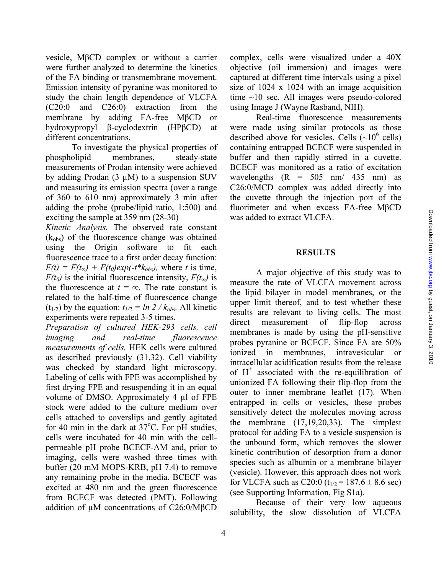vesicle, MβCD complex or without a carrier were further analyzed to determine the kinetics of the FA binding or transmembrane movement. Emission intensity of pyranine was monitored to study the chain length dependence of VLCFA (C20:0 and C26:0) extraction from the membrane by adding FA-free MβCD or hydroxypropyl β-cyclodextrin (HPβCD) at different concentrations.

To investigate the physical properties of phospholipid membranes, steady-state measurements of Prodan intensity were achieved by adding Prodan  $(3 \mu M)$  to a suspension SUV and measuring its emission spectra (over a range of 360 to 610 nm) approximately 3 min after adding the probe (probe/lipid ratio, 1:500) and exciting the sample at 359 nm (28-30)

*Kinetic Analysis.* The observed rate constant  $(k<sub>obs</sub>)$  of the fluorescence change was obtained using the Origin software to fit each fluorescence trace to a first order decay function:  $F(t) = F(t_{\infty}) + F(t_0)exp(-t^*k_{obs})$ , where *t* is time, *F(t<sub>0</sub>*) is the initial fluorescence intensity,  $F(t_{\infty})$  is the fluorescence at  $t = \infty$ . The rate constant is related to the half-time of fluorescence change  $(t_{1/2})$  by the equation:  $t_{1/2} = ln \ 2 / k_{obs}$ . All kinetic experiments were repeated 3-5 times.

*Preparation of cultured HEK-293 cells, cell imaging and real-time fluorescence measurements of cells.* HEK cells were cultured as described previously (31,32). Cell viability was checked by standard light microscopy. Labeling of cells with FPE was accomplished by first drying FPE and resuspending it in an equal volume of DMSO. Approximately 4 µl of FPE stock were added to the culture medium over cells attached to coverslips and gently agitated for 40 min in the dark at  $37^{\circ}$ C. For pH studies, cells were incubated for 40 min with the cellpermeable pH probe BCECF-AM and, prior to imaging, cells were washed three times with buffer (20 mM MOPS-KRB, pH 7.4) to remove any remaining probe in the media. BCECF was excited at 480 nm and the green fluorescence from BCECF was detected (PMT). Following addition of µM concentrations of C26:0/MβCD

complex, cells were visualized under a 40X objective (oil immersion) and images were captured at different time intervals using a pixel size of 1024 x 1024 with an image acquisition time ~10 sec. All images were pseudo-colored using Image J (Wayne Rasband, NIH).

Real-time fluorescence measurements were made using similar protocols as those described above for vesicles. Cells  $(\sim 10^6 \text{ cells})$ containing entrapped BCECF were suspended in buffer and then rapidly stirred in a cuvette. BCECF was monitored as a ratio of excitation wavelengths  $(R = 505 \text{ nm}/435 \text{ nm})$  as C26:0/MCD complex was added directly into the cuvette through the injection port of the fluorimeter and when excess FA-free MβCD was added to extract VLCFA.

#### **RESULTS**

 A major objective of this study was to measure the rate of VLCFA movement across the lipid bilayer in model membranes, or the upper limit thereof, and to test whether these results are relevant to living cells. The most direct measurement of flip-flop across membranes is made by using the pH-sensitive probes pyranine or BCECF. Since FA are 50% ionized in membranes, intravesicular or intracellular acidification results from the release of  $H^+$  associated with the re-equilibration of unionized FA following their flip-flop from the outer to inner membrane leaflet (17). When entrapped in cells or vesicles, these probes sensitively detect the molecules moving across the membrane (17,19,20,33). The simplest protocol for adding FA to a vesicle suspension is the unbound form, which removes the slower kinetic contribution of desorption from a donor species such as albumin or a membrane bilayer (vesicle). However, this approach does not work for VLCFA such as C20:0  $(t_{1/2} = 187.6 \pm 8.6 \text{ sec})$ (see Supporting Information, Fig S1a).

Because of their very low aqueous solubility, the slow dissolution of VLCFA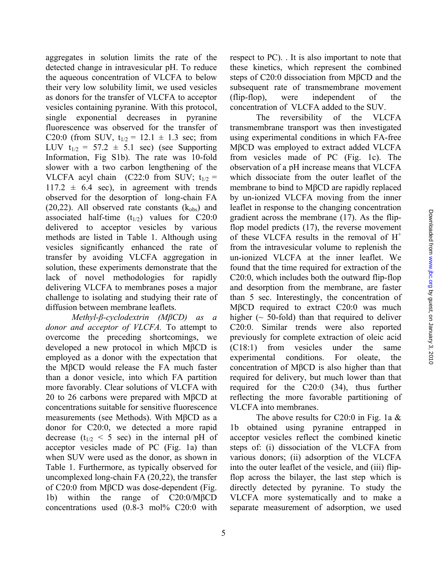aggregates in solution limits the rate of the detected change in intravesicular pH. To reduce the aqueous concentration of VLCFA to below their very low solubility limit, we used vesicles as donors for the transfer of VLCFA to acceptor vesicles containing pyranine. With this protocol, single exponential decreases in pyranine fluorescence was observed for the transfer of C20:0 (from SUV,  $t_{1/2} = 12.1 \pm 1.3$  sec; from LUV  $t_{1/2} = 57.2 \pm 5.1$  sec) (see Supporting Information, Fig S1b). The rate was 10-fold slower with a two carbon lengthening of the VLCFA acyl chain (C22:0 from SUV;  $t_{1/2}$  =  $117.2 \pm 6.4$  sec), in agreement with trends observed for the desorption of long-chain FA  $(20,22)$ . All observed rate constants  $(k_{obs})$  and associated half-time  $(t_{1/2})$  values for C20:0 delivered to acceptor vesicles by various methods are listed in Table 1. Although using vesicles significantly enhanced the rate of transfer by avoiding VLCFA aggregation in solution, these experiments demonstrate that the lack of novel methodologies for rapidly delivering VLCFA to membranes poses a major challenge to isolating and studying their rate of diffusion between membrane leaflets.

*Methyl-β-cyclodextrin (MβCD) as a donor and acceptor of VLCFA.* To attempt to overcome the preceding shortcomings, we developed a new protocol in which MβCD is employed as a donor with the expectation that the MβCD would release the FA much faster than a donor vesicle, into which FA partition more favorably. Clear solutions of VLCFA with 20 to 26 carbons were prepared with MβCD at concentrations suitable for sensitive fluorescence measurements (see Methods). With MβCD as a donor for C20:0, we detected a more rapid decrease  $(t_{1/2} < 5 \text{ sec})$  in the internal pH of acceptor vesicles made of PC (Fig. 1a) than when SUV were used as the donor, as shown in Table 1. Furthermore, as typically observed for uncomplexed long-chain FA (20,22), the transfer of C20:0 from MβCD was dose-dependent (Fig. 1b) within the range of C20:0/MβCD concentrations used (0.8-3 mol% C20:0 with

respect to PC). . It is also important to note that these kinetics, which represent the combined steps of C20:0 dissociation from MβCD and the subsequent rate of transmembrane movement (flip-flop), were independent of the concentration of VLCFA added to the SUV.

The reversibility of the VLCFA transmembrane transport was then investigated using experimental conditions in which FA-free MβCD was employed to extract added VLCFA from vesicles made of PC (Fig. 1c). The observation of a pH increase means that VLCFA which dissociate from the outer leaflet of the membrane to bind to MβCD are rapidly replaced by un-ionized VLCFA moving from the inner leaflet in response to the changing concentration gradient across the membrane (17). As the flipflop model predicts (17), the reverse movement of these VLCFA results in the removal of  $H^+$ from the intravesicular volume to replenish the un-ionized VLCFA at the inner leaflet. We found that the time required for extraction of the C20:0, which includes both the outward flip-flop and desorption from the membrane, are faster than 5 sec. Interestingly, the concentration of MβCD required to extract C20:0 was much higher  $(\sim 50\text{-}fold)$  than that required to deliver C20:0. Similar trends were also reported previously for complete extraction of oleic acid (C18:1) from vesicles under the same experimental conditions. For oleate, the concentration of MβCD is also higher than that required for delivery, but much lower than that required for the C20:0 (34), thus further reflecting the more favorable partitioning of VLCFA into membranes.

The above results for C20:0 in Fig. 1a  $&$ 1b obtained using pyranine entrapped in acceptor vesicles reflect the combined kinetic steps of: (i) dissociation of the VLCFA from various donors; (ii) adsorption of the VLCFA into the outer leaflet of the vesicle, and (iii) flipflop across the bilayer, the last step which is directly detected by pyranine. To study the VLCFA more systematically and to make a separate measurement of adsorption, we used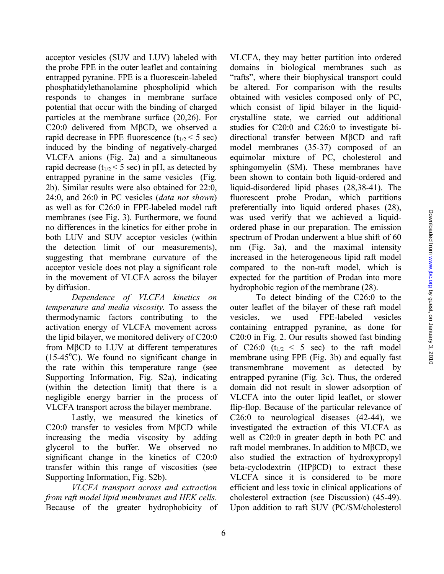acceptor vesicles (SUV and LUV) labeled with the probe FPE in the outer leaflet and containing entrapped pyranine. FPE is a fluorescein-labeled phosphatidylethanolamine phospholipid which responds to changes in membrane surface potential that occur with the binding of charged particles at the membrane surface (20,26). For C20:0 delivered from MβCD, we observed a rapid decrease in FPE fluorescence  $(t_{1/2} < 5 \text{ sec})$ induced by the binding of negatively-charged VLCFA anions (Fig. 2a) and a simultaneous rapid decrease ( $t_{1/2}$  < 5 sec) in pH, as detected by entrapped pyranine in the same vesicles (Fig. 2b). Similar results were also obtained for 22:0, 24:0, and 26:0 in PC vesicles (*data not shown*) as well as for C26:0 in FPE-labeled model raft membranes (see Fig. 3). Furthermore, we found no differences in the kinetics for either probe in both LUV and SUV acceptor vesicles (within the detection limit of our measurements), suggesting that membrane curvature of the acceptor vesicle does not play a significant role in the movement of VLCFA across the bilayer by diffusion.

*Dependence of VLCFA kinetics on temperature and media viscosity.* To assess the thermodynamic factors contributing to the activation energy of VLCFA movement across the lipid bilayer, we monitored delivery of C20:0 from MβCD to LUV at different temperatures  $(15-45^{\circ}\text{C})$ . We found no significant change in the rate within this temperature range (see Supporting Information, Fig. S2a), indicating (within the detection limit) that there is a negligible energy barrier in the process of VLCFA transport across the bilayer membrane.

Lastly, we measured the kinetics of C20:0 transfer to vesicles from MβCD while increasing the media viscosity by adding glycerol to the buffer. We observed no significant change in the kinetics of C20:0 transfer within this range of viscosities (see Supporting Information, Fig. S2b).

*VLCFA transport across and extraction from raft model lipid membranes and HEK cells*. Because of the greater hydrophobicity of

VLCFA, they may better partition into ordered domains in biological membranes such as "rafts", where their biophysical transport could be altered. For comparison with the results obtained with vesicles composed only of PC, which consist of lipid bilayer in the liquidcrystalline state, we carried out additional studies for C20:0 and C26:0 to investigate bidirectional transfer between MβCD and raft model membranes (35-37) composed of an equimolar mixture of PC, cholesterol and sphingomyelin (SM). These membranes have been shown to contain both liquid-ordered and liquid-disordered lipid phases (28,38-41). The fluorescent probe Prodan, which partitions preferentially into liquid ordered phases (28), was used verify that we achieved a liquidordered phase in our preparation. The emission spectrum of Prodan underwent a blue shift of 60 nm (Fig. 3a), and the maximal intensity increased in the heterogeneous lipid raft model compared to the non-raft model, which is expected for the partition of Prodan into more hydrophobic region of the membrane (28).

To detect binding of the C26:0 to the outer leaflet of the bilayer of these raft model vesicles, we used FPE-labeled vesicles containing entrapped pyranine, as done for C20:0 in Fig. 2. Our results showed fast binding of C26:0  $(t_{1/2} < 5$  sec) to the raft model membrane using FPE (Fig. 3b) and equally fast transmembrane movement as detected by entrapped pyranine (Fig. 3c). Thus, the ordered domain did not result in slower adsorption of VLCFA into the outer lipid leaflet, or slower flip-flop. Because of the particular relevance of C26:0 to neurological diseases (42-44), we investigated the extraction of this VLCFA as well as C20:0 in greater depth in both PC and raft model membranes. In addition to MβCD, we also studied the extraction of hydroxypropyl beta-cyclodextrin (HPβCD) to extract these VLCFA since it is considered to be more efficient and less toxic in clinical applications of cholesterol extraction (see Discussion) (45-49). Upon addition to raft SUV (PC/SM/cholesterol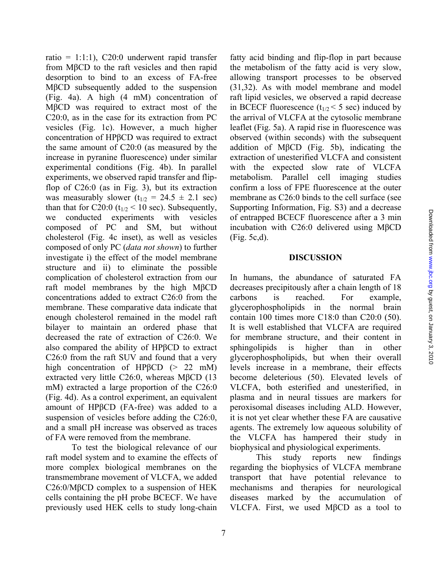ratio = 1:1:1),  $C20:0$  underwent rapid transfer from MβCD to the raft vesicles and then rapid desorption to bind to an excess of FA-free MβCD subsequently added to the suspension (Fig. 4a). A high (4 mM) concentration of MβCD was required to extract most of the C20:0, as in the case for its extraction from PC vesicles (Fig. 1c). However, a much higher concentration of HPβCD was required to extract the same amount of C20:0 (as measured by the increase in pyranine fluorescence) under similar experimental conditions (Fig. 4b). In parallel experiments, we observed rapid transfer and flipflop of C26:0 (as in Fig. 3), but its extraction was measurably slower  $(t_{1/2} = 24.5 \pm 2.1 \text{ sec})$ than that for C20:0 ( $t_{1/2}$  < 10 sec). Subsequently, we conducted experiments with vesicles composed of PC and SM, but without cholesterol (Fig. 4c inset), as well as vesicles composed of only PC (*data not shown*) to further investigate i) the effect of the model membrane structure and ii) to eliminate the possible complication of cholesterol extraction from our raft model membranes by the high MβCD concentrations added to extract C26:0 from the membrane. These comparative data indicate that enough cholesterol remained in the model raft bilayer to maintain an ordered phase that decreased the rate of extraction of C26:0. We also compared the ability of HPβCD to extract C26:0 from the raft SUV and found that a very high concentration of HPβCD (> 22 mM) extracted very little C26:0, whereas MβCD (13 mM) extracted a large proportion of the C26:0 (Fig. 4d). As a control experiment, an equivalent amount of HPβCD (FA-free) was added to a suspension of vesicles before adding the C26:0, and a small pH increase was observed as traces of FA were removed from the membrane.

To test the biological relevance of our raft model system and to examine the effects of more complex biological membranes on the transmembrane movement of VLCFA, we added C26:0/MβCD complex to a suspension of HEK cells containing the pH probe BCECF. We have previously used HEK cells to study long-chain

fatty acid binding and flip-flop in part because the metabolism of the fatty acid is very slow, allowing transport processes to be observed (31,32). As with model membrane and model raft lipid vesicles, we observed a rapid decrease in BCECF fluorescence  $(t_{1/2} < 5 \text{ sec})$  induced by the arrival of VLCFA at the cytosolic membrane leaflet (Fig. 5a). A rapid rise in fluorescence was observed (within seconds) with the subsequent addition of MβCD (Fig. 5b), indicating the extraction of unesterified VLCFA and consistent with the expected slow rate of VLCFA metabolism. Parallel cell imaging studies confirm a loss of FPE fluorescence at the outer membrane as C26:0 binds to the cell surface (see Supporting Information, Fig. S3) and a decrease of entrapped BCECF fluorescence after a 3 min incubation with C26:0 delivered using MβCD (Fig. 5c,d).

### **DISCUSSION**

In humans, the abundance of saturated FA decreases precipitously after a chain length of 18 carbons is reached. For example, glycerophospholipids in the normal brain contain 100 times more C18:0 than C20:0 (50). It is well established that VLCFA are required for membrane structure, and their content in sphingolipids is higher than in other glycerophospholipids, but when their overall levels increase in a membrane, their effects become deleterious (50). Elevated levels of VLCFA, both esterified and unesterified, in plasma and in neural tissues are markers for peroxisomal diseases including ALD. However, it is not yet clear whether these FA are causative agents. The extremely low aqueous solubility of the VLCFA has hampered their study in biophysical and physiological experiments.

This study reports new findings regarding the biophysics of VLCFA membrane transport that have potential relevance to mechanisms and therapies for neurological diseases marked by the accumulation of VLCFA. First, we used MβCD as a tool to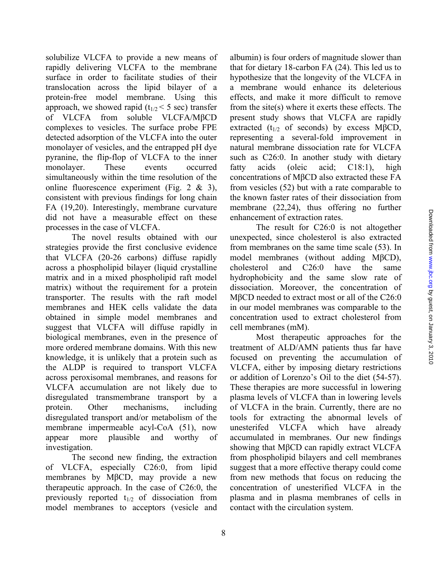solubilize VLCFA to provide a new means of rapidly delivering VLCFA to the membrane surface in order to facilitate studies of their translocation across the lipid bilayer of a protein-free model membrane. Using this approach, we showed rapid  $(t_{1/2} < 5 \text{ sec})$  transfer of VLCFA from soluble VLCFA/MβCD complexes to vesicles. The surface probe FPE detected adsorption of the VLCFA into the outer monolayer of vesicles, and the entrapped pH dye pyranine, the flip-flop of VLCFA to the inner monolayer. These events occurred simultaneously within the time resolution of the online fluorescence experiment (Fig. 2 & 3), consistent with previous findings for long chain FA (19,20). Interestingly, membrane curvature did not have a measurable effect on these processes in the case of VLCFA.

The novel results obtained with our strategies provide the first conclusive evidence that VLCFA (20-26 carbons) diffuse rapidly across a phospholipid bilayer (liquid crystalline matrix and in a mixed phospholipid raft model matrix) without the requirement for a protein transporter. The results with the raft model membranes and HEK cells validate the data obtained in simple model membranes and suggest that VLCFA will diffuse rapidly in biological membranes, even in the presence of more ordered membrane domains. With this new knowledge, it is unlikely that a protein such as the ALDP is required to transport VLCFA across peroxisomal membranes, and reasons for VLCFA accumulation are not likely due to disregulated transmembrane transport by a protein. Other mechanisms, including disregulated transport and/or metabolism of the membrane impermeable acyl-CoA (51), now appear more plausible and worthy of investigation.

The second new finding, the extraction of VLCFA, especially C26:0, from lipid membranes by MβCD, may provide a new therapeutic approach. In the case of C26:0, the previously reported  $t_{1/2}$  of dissociation from model membranes to acceptors (vesicle and

albumin) is four orders of magnitude slower than that for dietary 18-carbon FA (24). This led us to hypothesize that the longevity of the VLCFA in a membrane would enhance its deleterious effects, and make it more difficult to remove from the site(s) where it exerts these effects. The present study shows that VLCFA are rapidly extracted ( $t_{1/2}$  of seconds) by excess M $\beta$ CD, representing a several-fold improvement in natural membrane dissociation rate for VLCFA such as C26:0. In another study with dietary fatty acids (oleic acid; C18:1), high concentrations of MβCD also extracted these FA from vesicles (52) but with a rate comparable to the known faster rates of their dissociation from membrane (22,24), thus offering no further enhancement of extraction rates.

The result for C26:0 is not altogether unexpected, since cholesterol is also extracted from membranes on the same time scale (53). In model membranes (without adding MβCD), cholesterol and C26:0 have the same hydrophobicity and the same slow rate of dissociation. Moreover, the concentration of MβCD needed to extract most or all of the C26:0 in our model membranes was comparable to the concentration used to extract cholesterol from cell membranes (mM).

Most therapeutic approaches for the treatment of ALD/AMN patients thus far have focused on preventing the accumulation of VLCFA, either by imposing dietary restrictions or addition of Lorenzo's Oil to the diet (54-57). These therapies are more successful in lowering plasma levels of VLCFA than in lowering levels of VLCFA in the brain. Currently, there are no tools for extracting the abnormal levels of unesterifed VLCFA which have already accumulated in membranes. Our new findings showing that MβCD can rapidly extract VLCFA from phospholipid bilayers and cell membranes suggest that a more effective therapy could come from new methods that focus on reducing the concentration of unesterified VLCFA in the plasma and in plasma membranes of cells in contact with the circulation system.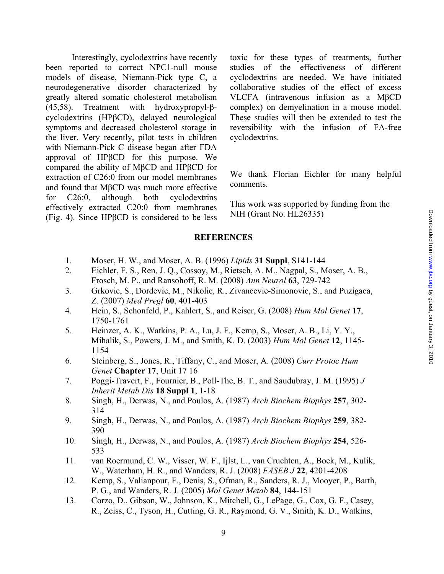Interestingly, cyclodextrins have recently been reported to correct NPC1-null mouse models of disease, Niemann-Pick type C, a neurodegenerative disorder characterized by greatly altered somatic cholesterol metabolism (45,58). Treatment with hydroxypropyl-βcyclodextrins (HPβCD), delayed neurological symptoms and decreased cholesterol storage in the liver. Very recently, pilot tests in children with Niemann-Pick C disease began after FDA approval of HPβCD for this purpose. We compared the ability of MβCD and HPβCD for extraction of C26:0 from our model membranes and found that MβCD was much more effective for C26:0, although both cyclodextrins effectively extracted C20:0 from membranes (Fig. 4). Since HPβCD is considered to be less

toxic for these types of treatments, further studies of the effectiveness of different cyclodextrins are needed. We have initiated collaborative studies of the effect of excess VLCFA (intravenous infusion as a MβCD complex) on demyelination in a mouse model. These studies will then be extended to test the reversibility with the infusion of FA-free cyclodextrins.

We thank Florian Eichler for many helpful comments.

This work was supported by funding from the NIH (Grant No. HL26335)

#### **REFERENCES**

- 1. Moser, H. W., and Moser, A. B. (1996) *Lipids* **31 Suppl**, S141-144
- 2. Eichler, F. S., Ren, J. Q., Cossoy, M., Rietsch, A. M., Nagpal, S., Moser, A. B., Frosch, M. P., and Ransohoff, R. M. (2008) *Ann Neurol* **63**, 729-742
- 3. Grkovic, S., Dordevic, M., Nikolic, R., Zivancevic-Simonovic, S., and Puzigaca, Z. (2007) *Med Pregl* **60**, 401-403
- 4. Hein, S., Schonfeld, P., Kahlert, S., and Reiser, G. (2008) *Hum Mol Genet* **17**, 1750-1761
- 5. Heinzer, A. K., Watkins, P. A., Lu, J. F., Kemp, S., Moser, A. B., Li, Y. Y., Mihalik, S., Powers, J. M., and Smith, K. D. (2003) *Hum Mol Genet* **12**, 1145- 1154
- 6. Steinberg, S., Jones, R., Tiffany, C., and Moser, A. (2008) *Curr Protoc Hum Genet* **Chapter 17**, Unit 17 16
- 7. Poggi-Travert, F., Fournier, B., Poll-The, B. T., and Saudubray, J. M. (1995) *J Inherit Metab Dis* **18 Suppl 1**, 1-18
- 8. Singh, H., Derwas, N., and Poulos, A. (1987) *Arch Biochem Biophys* **257**, 302- 314
- 9. Singh, H., Derwas, N., and Poulos, A. (1987) *Arch Biochem Biophys* **259**, 382- 390
- 10. Singh, H., Derwas, N., and Poulos, A. (1987) *Arch Biochem Biophys* **254**, 526- 533
- 11. van Roermund, C. W., Visser, W. F., Ijlst, L., van Cruchten, A., Boek, M., Kulik, W., Waterham, H. R., and Wanders, R. J. (2008) *FASEB J* **22**, 4201-4208
- 12. Kemp, S., Valianpour, F., Denis, S., Ofman, R., Sanders, R. J., Mooyer, P., Barth, P. G., and Wanders, R. J. (2005) *Mol Genet Metab* **84**, 144-151
- 13. Corzo, D., Gibson, W., Johnson, K., Mitchell, G., LePage, G., Cox, G. F., Casey, R., Zeiss, C., Tyson, H., Cutting, G. R., Raymond, G. V., Smith, K. D., Watkins,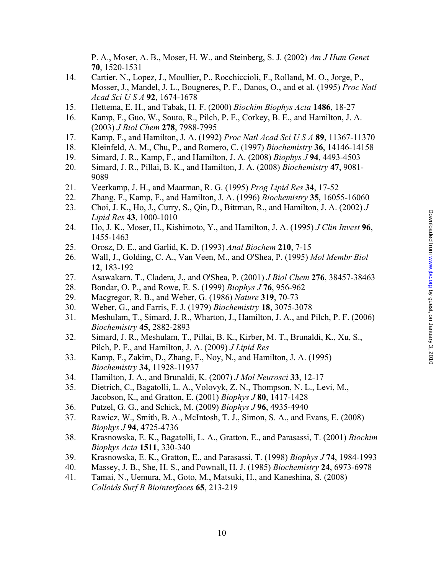P. A., Moser, A. B., Moser, H. W., and Steinberg, S. J. (2002) *Am J Hum Genet* **70**, 1520-1531

- 14. Cartier, N., Lopez, J., Moullier, P., Rocchiccioli, F., Rolland, M. O., Jorge, P., Mosser, J., Mandel, J. L., Bougneres, P. F., Danos, O., and et al. (1995) *Proc Natl Acad Sci U S A* **92**, 1674-1678
- 15. Hettema, E. H., and Tabak, H. F. (2000) *Biochim Biophys Acta* **1486**, 18-27
- 16. Kamp, F., Guo, W., Souto, R., Pilch, P. F., Corkey, B. E., and Hamilton, J. A. (2003) *J Biol Chem* **278**, 7988-7995
- 17. Kamp, F., and Hamilton, J. A. (1992) *Proc Natl Acad Sci U S A* **89**, 11367-11370
- 18. Kleinfeld, A. M., Chu, P., and Romero, C. (1997) *Biochemistry* **36**, 14146-14158
- 19. Simard, J. R., Kamp, F., and Hamilton, J. A. (2008) *Biophys J* **94**, 4493-4503
- 20. Simard, J. R., Pillai, B. K., and Hamilton, J. A. (2008) *Biochemistry* **47**, 9081- 9089
- 21. Veerkamp, J. H., and Maatman, R. G. (1995) *Prog Lipid Res* **34**, 17-52
- 22. Zhang, F., Kamp, F., and Hamilton, J. A. (1996) *Biochemistry* **35**, 16055-16060
- 23. Choi, J. K., Ho, J., Curry, S., Qin, D., Bittman, R., and Hamilton, J. A. (2002) *J Lipid Res* **43**, 1000-1010
- 24. Ho, J. K., Moser, H., Kishimoto, Y., and Hamilton, J. A. (1995) *J Clin Invest* **96**, 1455-1463
- 25. Orosz, D. E., and Garlid, K. D. (1993) *Anal Biochem* **210**, 7-15
- 26. Wall, J., Golding, C. A., Van Veen, M., and O'Shea, P. (1995) *Mol Membr Biol* **12**, 183-192
- 27. Asawakarn, T., Cladera, J., and O'Shea, P. (2001) *J Biol Chem* **276**, 38457-38463
- 28. Bondar, O. P., and Rowe, E. S. (1999) *Biophys J* **76**, 956-962
- 29. Macgregor, R. B., and Weber, G. (1986) *Nature* **319**, 70-73
- 30. Weber, G., and Farris, F. J. (1979) *Biochemistry* **18**, 3075-3078
- 31. Meshulam, T., Simard, J. R., Wharton, J., Hamilton, J. A., and Pilch, P. F. (2006) *Biochemistry* **45**, 2882-2893
- 32. Simard, J. R., Meshulam, T., Pillai, B. K., Kirber, M. T., Brunaldi, K., Xu, S., Pilch, P. F., and Hamilton, J. A. (2009) *J Lipid Res*
- 33. Kamp, F., Zakim, D., Zhang, F., Noy, N., and Hamilton, J. A. (1995) *Biochemistry* **34**, 11928-11937
- 34. Hamilton, J. A., and Brunaldi, K. (2007) *J Mol Neurosci* **33**, 12-17
- 35. Dietrich, C., Bagatolli, L. A., Volovyk, Z. N., Thompson, N. L., Levi, M., Jacobson, K., and Gratton, E. (2001) *Biophys J* **80**, 1417-1428
- 36. Putzel, G. G., and Schick, M. (2009) *Biophys J* **96**, 4935-4940
- 37. Rawicz, W., Smith, B. A., McIntosh, T. J., Simon, S. A., and Evans, E. (2008) *Biophys J* **94**, 4725-4736
- 38. Krasnowska, E. K., Bagatolli, L. A., Gratton, E., and Parasassi, T. (2001) *Biochim Biophys Acta* **1511**, 330-340
- 39. Krasnowska, E. K., Gratton, E., and Parasassi, T. (1998) *Biophys J* **74**, 1984-1993
- 40. Massey, J. B., She, H. S., and Pownall, H. J. (1985) *Biochemistry* **24**, 6973-6978
- 41. Tamai, N., Uemura, M., Goto, M., Matsuki, H., and Kaneshina, S. (2008) *Colloids Surf B Biointerfaces* **65**, 213-219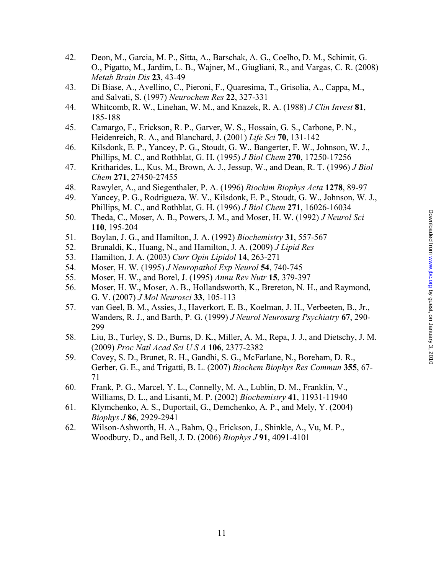- 42. Deon, M., Garcia, M. P., Sitta, A., Barschak, A. G., Coelho, D. M., Schimit, G. O., Pigatto, M., Jardim, L. B., Wajner, M., Giugliani, R., and Vargas, C. R. (2008) *Metab Brain Dis* **23**, 43-49
- 43. Di Biase, A., Avellino, C., Pieroni, F., Quaresima, T., Grisolia, A., Cappa, M., and Salvati, S. (1997) *Neurochem Res* **22**, 327-331
- 44. Whitcomb, R. W., Linehan, W. M., and Knazek, R. A. (1988) *J Clin Invest* **81**, 185-188
- 45. Camargo, F., Erickson, R. P., Garver, W. S., Hossain, G. S., Carbone, P. N., Heidenreich, R. A., and Blanchard, J. (2001) *Life Sci* **70**, 131-142
- 46. Kilsdonk, E. P., Yancey, P. G., Stoudt, G. W., Bangerter, F. W., Johnson, W. J., Phillips, M. C., and Rothblat, G. H. (1995) *J Biol Chem* **270**, 17250-17256
- 47. Kritharides, L., Kus, M., Brown, A. J., Jessup, W., and Dean, R. T. (1996) *J Biol Chem* **271**, 27450-27455
- 48. Rawyler, A., and Siegenthaler, P. A. (1996) *Biochim Biophys Acta* **1278**, 89-97
- 49. Yancey, P. G., Rodrigueza, W. V., Kilsdonk, E. P., Stoudt, G. W., Johnson, W. J., Phillips, M. C., and Rothblat, G. H. (1996) *J Biol Chem* **271**, 16026-16034
- 50. Theda, C., Moser, A. B., Powers, J. M., and Moser, H. W. (1992) *J Neurol Sci* **110**, 195-204
- 51. Boylan, J. G., and Hamilton, J. A. (1992) *Biochemistry* **31**, 557-567
- 52. Brunaldi, K., Huang, N., and Hamilton, J. A. (2009) *J Lipid Res*
- 53. Hamilton, J. A. (2003) *Curr Opin Lipidol* **14**, 263-271
- 54. Moser, H. W. (1995) *J Neuropathol Exp Neurol* **54**, 740-745
- 55. Moser, H. W., and Borel, J. (1995) *Annu Rev Nutr* **15**, 379-397
- 56. Moser, H. W., Moser, A. B., Hollandsworth, K., Brereton, N. H., and Raymond, G. V. (2007) *J Mol Neurosci* **33**, 105-113
- 57. van Geel, B. M., Assies, J., Haverkort, E. B., Koelman, J. H., Verbeeten, B., Jr., Wanders, R. J., and Barth, P. G. (1999) *J Neurol Neurosurg Psychiatry* **67**, 290- 299
- 58. Liu, B., Turley, S. D., Burns, D. K., Miller, A. M., Repa, J. J., and Dietschy, J. M. (2009) *Proc Natl Acad Sci U S A* **106**, 2377-2382
- 59. Covey, S. D., Brunet, R. H., Gandhi, S. G., McFarlane, N., Boreham, D. R., Gerber, G. E., and Trigatti, B. L. (2007) *Biochem Biophys Res Commun* **355**, 67- 71
- 60. Frank, P. G., Marcel, Y. L., Connelly, M. A., Lublin, D. M., Franklin, V., Williams, D. L., and Lisanti, M. P. (2002) *Biochemistry* **41**, 11931-11940
- 61. Klymchenko, A. S., Duportail, G., Demchenko, A. P., and Mely, Y. (2004) *Biophys J* **86**, 2929-2941
- 62. Wilson-Ashworth, H. A., Bahm, Q., Erickson, J., Shinkle, A., Vu, M. P., Woodbury, D., and Bell, J. D. (2006) *Biophys J* **91**, 4091-4101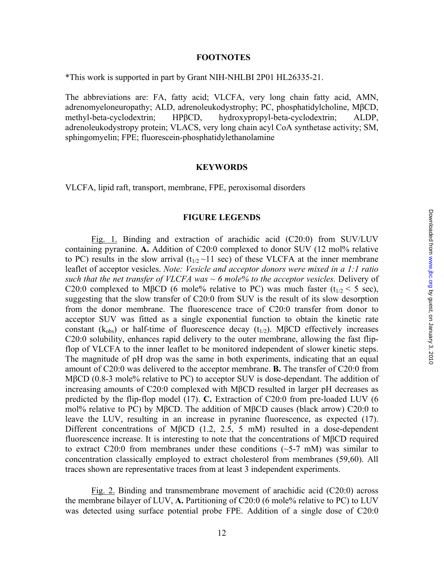### **FOOTNOTES**

\*This work is supported in part by Grant NIH-NHLBI 2P01 HL26335-21.

The abbreviations are: FA, fatty acid; VLCFA, very long chain fatty acid, AMN, adrenomyeloneuropathy; ALD, adrenoleukodystrophy; PC, phosphatidylcholine, MβCD, methyl-beta-cyclodextrin; HPβCD, hydroxypropyl-beta-cyclodextrin; ALDP, adrenoleukodystropy protein; VLACS, very long chain acyl CoA synthetase activity; SM, sphingomyelin; FPE; fluorescein-phosphatidylethanolamine

#### **KEYWORDS**

VLCFA, lipid raft, transport, membrane, FPE, peroxisomal disorders

#### **FIGURE LEGENDS**

Fig. 1. Binding and extraction of arachidic acid (C20:0) from SUV/LUV containing pyranine. **A.** Addition of C20:0 complexed to donor SUV (12 mol% relative to PC) results in the slow arrival ( $t_{1/2}$  ~11 sec) of these VLCFA at the inner membrane leaflet of acceptor vesicles. *Note: Vesicle and acceptor donors were mixed in a 1:1 ratio such that the net transfer of VLCFA was ~ 6 mole% to the acceptor vesicles.* Delivery of C20:0 complexed to MβCD (6 mole% relative to PC) was much faster ( $t_{1/2}$  < 5 sec), suggesting that the slow transfer of C20:0 from SUV is the result of its slow desorption from the donor membrane. The fluorescence trace of C20:0 transfer from donor to acceptor SUV was fitted as a single exponential function to obtain the kinetic rate constant ( $k_{obs}$ ) or half-time of fluorescence decay ( $t_{1/2}$ ). MβCD effectively increases C20:0 solubility, enhances rapid delivery to the outer membrane, allowing the fast flipflop of VLCFA to the inner leaflet to be monitored independent of slower kinetic steps. The magnitude of pH drop was the same in both experiments, indicating that an equal amount of C20:0 was delivered to the acceptor membrane. **B.** The transfer of C20:0 from MβCD (0.8-3 mole% relative to PC) to acceptor SUV is dose-dependant. The addition of increasing amounts of C20:0 complexed with MβCD resulted in larger pH decreases as predicted by the flip-flop model (17). **C.** Extraction of C20:0 from pre-loaded LUV (6 mol% relative to PC) by MβCD. The addition of MβCD causes (black arrow) C20:0 to leave the LUV, resulting in an increase in pyranine fluorescence, as expected (17). Different concentrations of MβCD (1.2, 2.5, 5 mM) resulted in a dose-dependent fluorescence increase. It is interesting to note that the concentrations of MβCD required to extract C20:0 from membranes under these conditions  $(\sim 5-7 \text{ mM})$  was similar to concentration classically employed to extract cholesterol from membranes (59,60). All traces shown are representative traces from at least 3 independent experiments.

Fig. 2. Binding and transmembrane movement of arachidic acid (C20:0) across the membrane bilayer of LUV, **A.** Partitioning of C20:0 (6 mole% relative to PC) to LUV was detected using surface potential probe FPE. Addition of a single dose of C20:0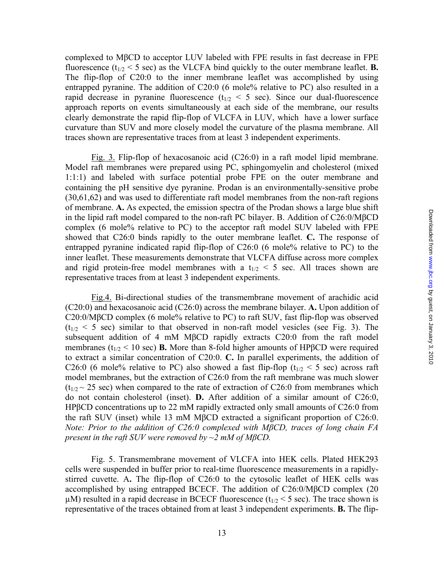complexed to MβCD to acceptor LUV labeled with FPE results in fast decrease in FPE fluorescence  $(t_{1/2} < 5 \text{ sec})$  as the VLCFA bind quickly to the outer membrane leaflet. **B.** The flip-flop of C20:0 to the inner membrane leaflet was accomplished by using entrapped pyranine. The addition of C20:0 (6 mole% relative to PC) also resulted in a rapid decrease in pyranine fluorescence  $(t_{1/2} < 5 \text{ sec})$ . Since our dual-fluorescence approach reports on events simultaneously at each side of the membrane, our results clearly demonstrate the rapid flip-flop of VLCFA in LUV, which have a lower surface curvature than SUV and more closely model the curvature of the plasma membrane. All traces shown are representative traces from at least 3 independent experiments.

Fig. 3. Flip-flop of hexacosanoic acid (C26:0) in a raft model lipid membrane. Model raft membranes were prepared using PC, sphingomyelin and cholesterol (mixed 1:1:1) and labeled with surface potential probe FPE on the outer membrane and containing the pH sensitive dye pyranine. Prodan is an environmentally-sensitive probe (30,61,62) and was used to differentiate raft model membranes from the non-raft regions of membrane. **A.** As expected, the emission spectra of the Prodan shows a large blue shift in the lipid raft model compared to the non-raft PC bilayer. B. Addition of C26:0/MβCD complex (6 mole% relative to PC) to the acceptor raft model SUV labeled with FPE showed that C26:0 binds rapidly to the outer membrane leaflet. **C.** The response of entrapped pyranine indicated rapid flip-flop of C26:0 (6 mole% relative to PC) to the inner leaflet. These measurements demonstrate that VLCFA diffuse across more complex and rigid protein-free model membranes with a  $t_{1/2}$  < 5 sec. All traces shown are representative traces from at least 3 independent experiments.

Fig.4. Bi-directional studies of the transmembrane movement of arachidic acid (C20:0) and hexacosanoic acid (C26:0) across the membrane bilayer. **A.** Upon addition of C20:0/MβCD complex (6 mole% relative to PC) to raft SUV, fast flip-flop was observed  $(t_{1/2} \le 5 \text{ sec})$  similar to that observed in non-raft model vesicles (see Fig. 3). The subsequent addition of 4 mM MβCD rapidly extracts C20:0 from the raft model membranes ( $t_{1/2}$  < 10 sec) **B.** More than 8-fold higher amounts of HP $\beta$ CD were required to extract a similar concentration of C20:0. **C.** In parallel experiments, the addition of C26:0 (6 mole% relative to PC) also showed a fast flip-flop ( $t_{1/2}$  < 5 sec) across raft model membranes, but the extraction of C26:0 from the raft membrane was much slower  $(t_{1/2} \sim 25 \text{ sec})$  when compared to the rate of extraction of C26:0 from membranes which do not contain cholesterol (inset). **D.** After addition of a similar amount of C26:0, HPβCD concentrations up to 22 mM rapidly extracted only small amounts of C26:0 from the raft SUV (inset) while 13 mM MβCD extracted a significant proportion of C26:0. *Note: Prior to the addition of C26:0 complexed with MβCD, traces of long chain FA present in the raft SUV were removed by ~2 mM of MβCD.*

Fig. 5. Transmembrane movement of VLCFA into HEK cells. Plated HEK293 cells were suspended in buffer prior to real-time fluorescence measurements in a rapidlystirred cuvette. A**.** The flip-flop of C26:0 to the cytosolic leaflet of HEK cells was accomplished by using entrapped BCECF. The addition of C26:0/MβCD complex (20  $\mu$ M) resulted in a rapid decrease in BCECF fluorescence (t<sub>1/2</sub> < 5 sec). The trace shown is representative of the traces obtained from at least 3 independent experiments. **B.** The flip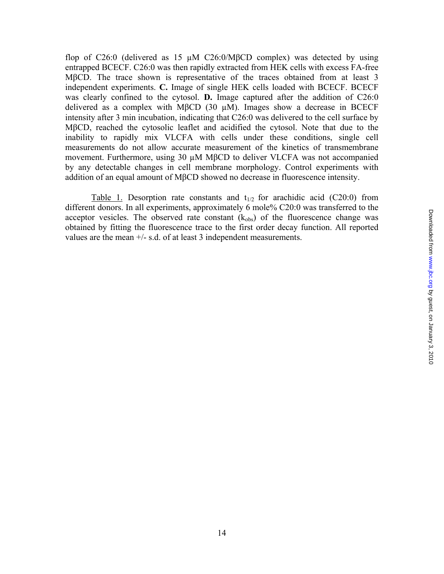flop of C26:0 (delivered as 15  $\mu$ M C26:0/M $\beta$ CD complex) was detected by using entrapped BCECF. C26:0 was then rapidly extracted from HEK cells with excess FA-free MβCD. The trace shown is representative of the traces obtained from at least 3 independent experiments. **C.** Image of single HEK cells loaded with BCECF. BCECF was clearly confined to the cytosol. **D.** Image captured after the addition of C26:0 delivered as a complex with MβCD (30 µM). Images show a decrease in BCECF intensity after 3 min incubation, indicating that C26:0 was delivered to the cell surface by MβCD, reached the cytosolic leaflet and acidified the cytosol. Note that due to the inability to rapidly mix VLCFA with cells under these conditions, single cell measurements do not allow accurate measurement of the kinetics of transmembrane movement. Furthermore, using 30 µM MβCD to deliver VLCFA was not accompanied by any detectable changes in cell membrane morphology. Control experiments with addition of an equal amount of MβCD showed no decrease in fluorescence intensity.

Table 1. Desorption rate constants and  $t_{1/2}$  for arachidic acid (C20:0) from different donors. In all experiments, approximately 6 mole% C20:0 was transferred to the acceptor vesicles. The observed rate constant  $(k_{obs})$  of the fluorescence change was obtained by fitting the fluorescence trace to the first order decay function. All reported values are the mean +/- s.d. of at least 3 independent measurements.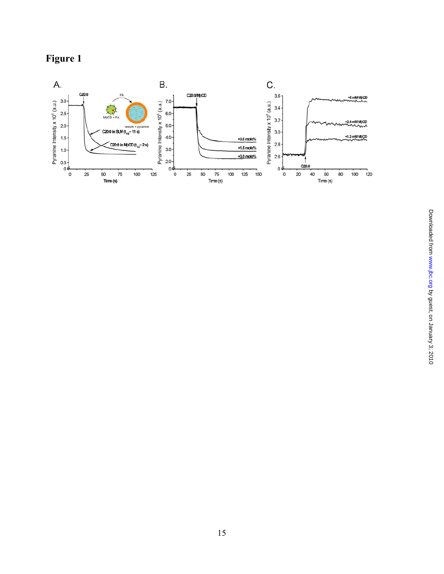

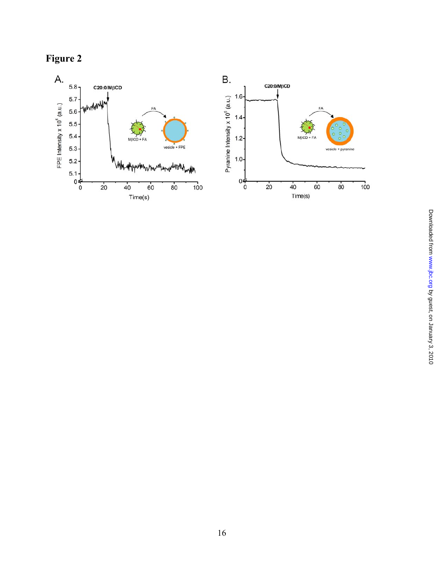

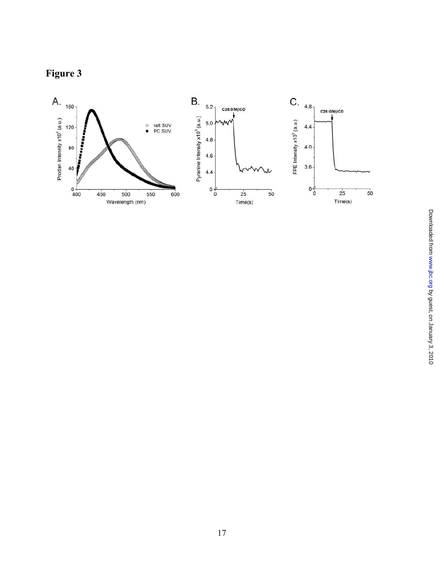# **Figure 3**

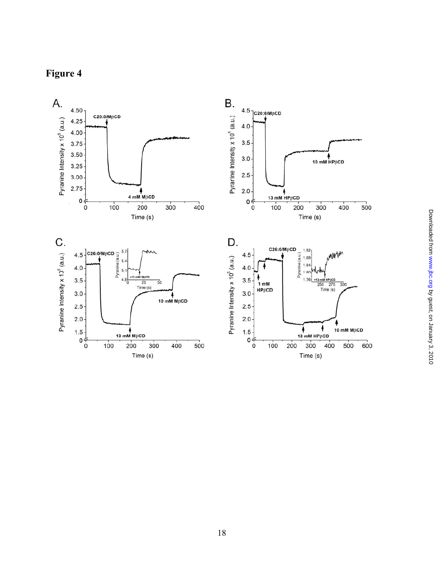

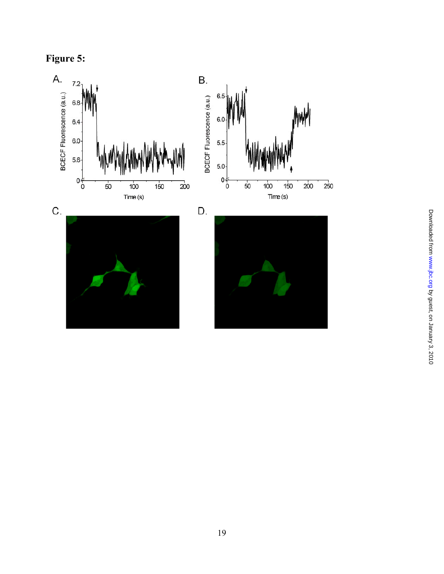